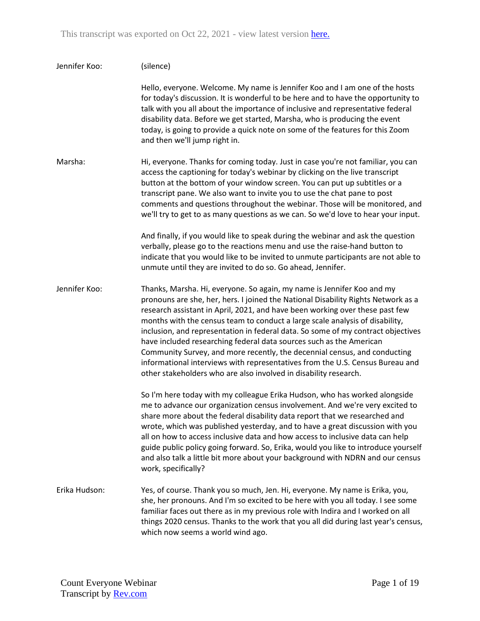| Jennifer Koo: | (silence)                                                                                                                                                                                                                                                                                                                                                                                                                                                                                                                                                                                                                                                                                                                |
|---------------|--------------------------------------------------------------------------------------------------------------------------------------------------------------------------------------------------------------------------------------------------------------------------------------------------------------------------------------------------------------------------------------------------------------------------------------------------------------------------------------------------------------------------------------------------------------------------------------------------------------------------------------------------------------------------------------------------------------------------|
|               | Hello, everyone. Welcome. My name is Jennifer Koo and I am one of the hosts<br>for today's discussion. It is wonderful to be here and to have the opportunity to<br>talk with you all about the importance of inclusive and representative federal<br>disability data. Before we get started, Marsha, who is producing the event<br>today, is going to provide a quick note on some of the features for this Zoom<br>and then we'll jump right in.                                                                                                                                                                                                                                                                       |
| Marsha:       | Hi, everyone. Thanks for coming today. Just in case you're not familiar, you can<br>access the captioning for today's webinar by clicking on the live transcript<br>button at the bottom of your window screen. You can put up subtitles or a<br>transcript pane. We also want to invite you to use the chat pane to post<br>comments and questions throughout the webinar. Those will be monitored, and<br>we'll try to get to as many questions as we can. So we'd love to hear your input.                                                                                                                                                                                                                            |
|               | And finally, if you would like to speak during the webinar and ask the question<br>verbally, please go to the reactions menu and use the raise-hand button to<br>indicate that you would like to be invited to unmute participants are not able to<br>unmute until they are invited to do so. Go ahead, Jennifer.                                                                                                                                                                                                                                                                                                                                                                                                        |
| Jennifer Koo: | Thanks, Marsha. Hi, everyone. So again, my name is Jennifer Koo and my<br>pronouns are she, her, hers. I joined the National Disability Rights Network as a<br>research assistant in April, 2021, and have been working over these past few<br>months with the census team to conduct a large scale analysis of disability,<br>inclusion, and representation in federal data. So some of my contract objectives<br>have included researching federal data sources such as the American<br>Community Survey, and more recently, the decennial census, and conducting<br>informational interviews with representatives from the U.S. Census Bureau and<br>other stakeholders who are also involved in disability research. |
|               | So I'm here today with my colleague Erika Hudson, who has worked alongside<br>me to advance our organization census involvement. And we're very excited to<br>share more about the federal disability data report that we researched and<br>wrote, which was published yesterday, and to have a great discussion with you<br>all on how to access inclusive data and how access to inclusive data can help<br>guide public policy going forward. So, Erika, would you like to introduce yourself<br>and also talk a little bit more about your background with NDRN and our census<br>work, specifically?                                                                                                                |
| Erika Hudson: | Yes, of course. Thank you so much, Jen. Hi, everyone. My name is Erika, you,<br>she, her pronouns. And I'm so excited to be here with you all today. I see some<br>familiar faces out there as in my previous role with Indira and I worked on all<br>things 2020 census. Thanks to the work that you all did during last year's census,<br>which now seems a world wind ago.                                                                                                                                                                                                                                                                                                                                            |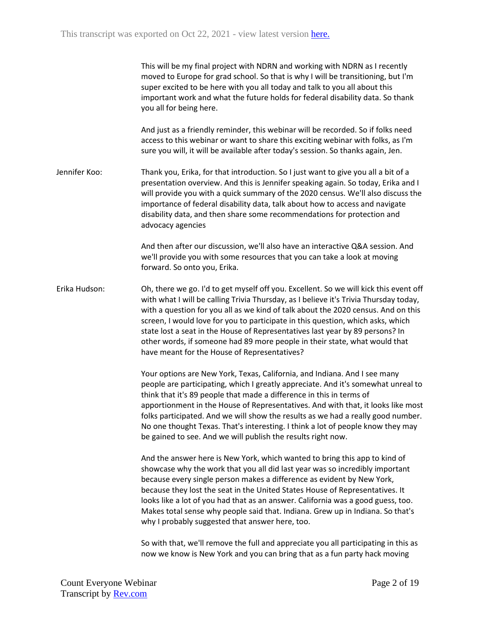This will be my final project with NDRN and working with NDRN as I recently moved to Europe for grad school. So that is why I will be transitioning, but I'm super excited to be here with you all today and talk to you all about this important work and what the future holds for federal disability data. So thank you all for being here.

And just as a friendly reminder, this webinar will be recorded. So if folks need access to this webinar or want to share this exciting webinar with folks, as I'm sure you will, it will be available after today's session. So thanks again, Jen.

Jennifer Koo: Thank you, Erika, for that introduction. So I just want to give you all a bit of a presentation overview. And this is Jennifer speaking again. So today, Erika and I will provide you with a quick summary of the 2020 census. We'll also discuss the importance of federal disability data, talk about how to access and navigate disability data, and then share some recommendations for protection and advocacy agencies

> And then after our discussion, we'll also have an interactive Q&A session. And we'll provide you with some resources that you can take a look at moving forward. So onto you, Erika.

Erika Hudson: Oh, there we go. I'd to get myself off you. Excellent. So we will kick this event off with what I will be calling Trivia Thursday, as I believe it's Trivia Thursday today, with a question for you all as we kind of talk about the 2020 census. And on this screen, I would love for you to participate in this question, which asks, which state lost a seat in the House of Representatives last year by 89 persons? In other words, if someone had 89 more people in their state, what would that have meant for the House of Representatives?

> Your options are New York, Texas, California, and Indiana. And I see many people are participating, which I greatly appreciate. And it's somewhat unreal to think that it's 89 people that made a difference in this in terms of apportionment in the House of Representatives. And with that, it looks like most folks participated. And we will show the results as we had a really good number. No one thought Texas. That's interesting. I think a lot of people know they may be gained to see. And we will publish the results right now.

And the answer here is New York, which wanted to bring this app to kind of showcase why the work that you all did last year was so incredibly important because every single person makes a difference as evident by New York, because they lost the seat in the United States House of Representatives. It looks like a lot of you had that as an answer. California was a good guess, too. Makes total sense why people said that. Indiana. Grew up in Indiana. So that's why I probably suggested that answer here, too.

So with that, we'll remove the full and appreciate you all participating in this as now we know is New York and you can bring that as a fun party hack moving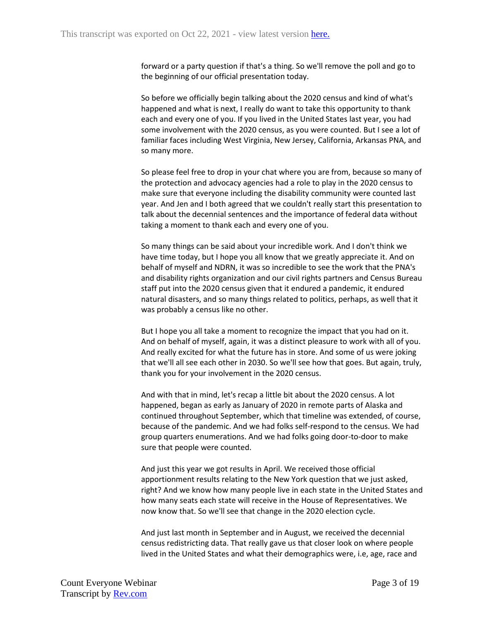forward or a party question if that's a thing. So we'll remove the poll and go to the beginning of our official presentation today.

So before we officially begin talking about the 2020 census and kind of what's happened and what is next, I really do want to take this opportunity to thank each and every one of you. If you lived in the United States last year, you had some involvement with the 2020 census, as you were counted. But I see a lot of familiar faces including West Virginia, New Jersey, California, Arkansas PNA, and so many more.

So please feel free to drop in your chat where you are from, because so many of the protection and advocacy agencies had a role to play in the 2020 census to make sure that everyone including the disability community were counted last year. And Jen and I both agreed that we couldn't really start this presentation to talk about the decennial sentences and the importance of federal data without taking a moment to thank each and every one of you.

So many things can be said about your incredible work. And I don't think we have time today, but I hope you all know that we greatly appreciate it. And on behalf of myself and NDRN, it was so incredible to see the work that the PNA's and disability rights organization and our civil rights partners and Census Bureau staff put into the 2020 census given that it endured a pandemic, it endured natural disasters, and so many things related to politics, perhaps, as well that it was probably a census like no other.

But I hope you all take a moment to recognize the impact that you had on it. And on behalf of myself, again, it was a distinct pleasure to work with all of you. And really excited for what the future has in store. And some of us were joking that we'll all see each other in 2030. So we'll see how that goes. But again, truly, thank you for your involvement in the 2020 census.

And with that in mind, let's recap a little bit about the 2020 census. A lot happened, began as early as January of 2020 in remote parts of Alaska and continued throughout September, which that timeline was extended, of course, because of the pandemic. And we had folks self-respond to the census. We had group quarters enumerations. And we had folks going door-to-door to make sure that people were counted.

And just this year we got results in April. We received those official apportionment results relating to the New York question that we just asked, right? And we know how many people live in each state in the United States and how many seats each state will receive in the House of Representatives. We now know that. So we'll see that change in the 2020 election cycle.

And just last month in September and in August, we received the decennial census redistricting data. That really gave us that closer look on where people lived in the United States and what their demographics were, i.e, age, race and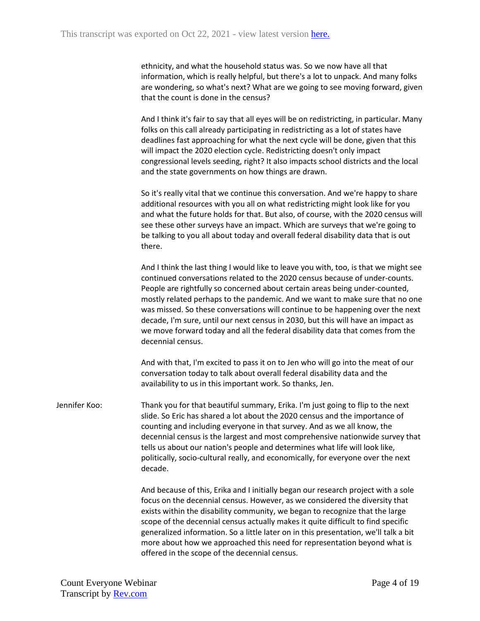ethnicity, and what the household status was. So we now have all that information, which is really helpful, but there's a lot to unpack. And many folks are wondering, so what's next? What are we going to see moving forward, given that the count is done in the census?

And I think it's fair to say that all eyes will be on redistricting, in particular. Many folks on this call already participating in redistricting as a lot of states have deadlines fast approaching for what the next cycle will be done, given that this will impact the 2020 election cycle. Redistricting doesn't only impact congressional levels seeding, right? It also impacts school districts and the local and the state governments on how things are drawn.

So it's really vital that we continue this conversation. And we're happy to share additional resources with you all on what redistricting might look like for you and what the future holds for that. But also, of course, with the 2020 census will see these other surveys have an impact. Which are surveys that we're going to be talking to you all about today and overall federal disability data that is out there.

And I think the last thing I would like to leave you with, too, is that we might see continued conversations related to the 2020 census because of under-counts. People are rightfully so concerned about certain areas being under-counted, mostly related perhaps to the pandemic. And we want to make sure that no one was missed. So these conversations will continue to be happening over the next decade, I'm sure, until our next census in 2030, but this will have an impact as we move forward today and all the federal disability data that comes from the decennial census.

And with that, I'm excited to pass it on to Jen who will go into the meat of our conversation today to talk about overall federal disability data and the availability to us in this important work. So thanks, Jen.

Jennifer Koo: Thank you for that beautiful summary, Erika. I'm just going to flip to the next slide. So Eric has shared a lot about the 2020 census and the importance of counting and including everyone in that survey. And as we all know, the decennial census is the largest and most comprehensive nationwide survey that tells us about our nation's people and determines what life will look like, politically, socio-cultural really, and economically, for everyone over the next decade.

> And because of this, Erika and I initially began our research project with a sole focus on the decennial census. However, as we considered the diversity that exists within the disability community, we began to recognize that the large scope of the decennial census actually makes it quite difficult to find specific generalized information. So a little later on in this presentation, we'll talk a bit more about how we approached this need for representation beyond what is offered in the scope of the decennial census.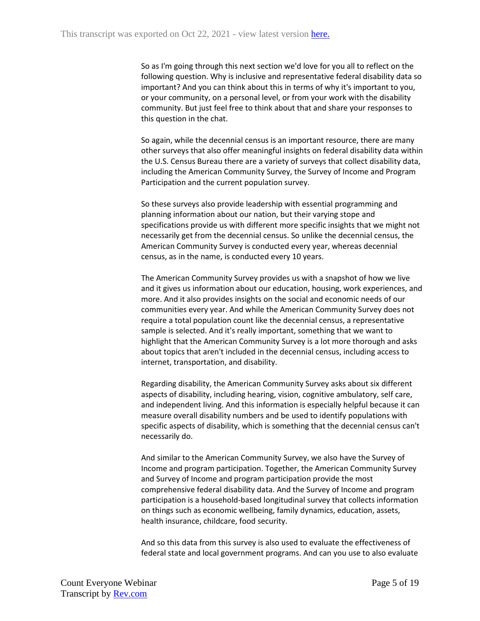So as I'm going through this next section we'd love for you all to reflect on the following question. Why is inclusive and representative federal disability data so important? And you can think about this in terms of why it's important to you, or your community, on a personal level, or from your work with the disability community. But just feel free to think about that and share your responses to this question in the chat.

So again, while the decennial census is an important resource, there are many other surveys that also offer meaningful insights on federal disability data within the U.S. Census Bureau there are a variety of surveys that collect disability data, including the American Community Survey, the Survey of Income and Program Participation and the current population survey.

So these surveys also provide leadership with essential programming and planning information about our nation, but their varying stope and specifications provide us with different more specific insights that we might not necessarily get from the decennial census. So unlike the decennial census, the American Community Survey is conducted every year, whereas decennial census, as in the name, is conducted every 10 years.

The American Community Survey provides us with a snapshot of how we live and it gives us information about our education, housing, work experiences, and more. And it also provides insights on the social and economic needs of our communities every year. And while the American Community Survey does not require a total population count like the decennial census, a representative sample is selected. And it's really important, something that we want to highlight that the American Community Survey is a lot more thorough and asks about topics that aren't included in the decennial census, including access to internet, transportation, and disability.

Regarding disability, the American Community Survey asks about six different aspects of disability, including hearing, vision, cognitive ambulatory, self care, and independent living. And this information is especially helpful because it can measure overall disability numbers and be used to identify populations with specific aspects of disability, which is something that the decennial census can't necessarily do.

And similar to the American Community Survey, we also have the Survey of Income and program participation. Together, the American Community Survey and Survey of Income and program participation provide the most comprehensive federal disability data. And the Survey of Income and program participation is a household-based longitudinal survey that collects information on things such as economic wellbeing, family dynamics, education, assets, health insurance, childcare, food security.

And so this data from this survey is also used to evaluate the effectiveness of federal state and local government programs. And can you use to also evaluate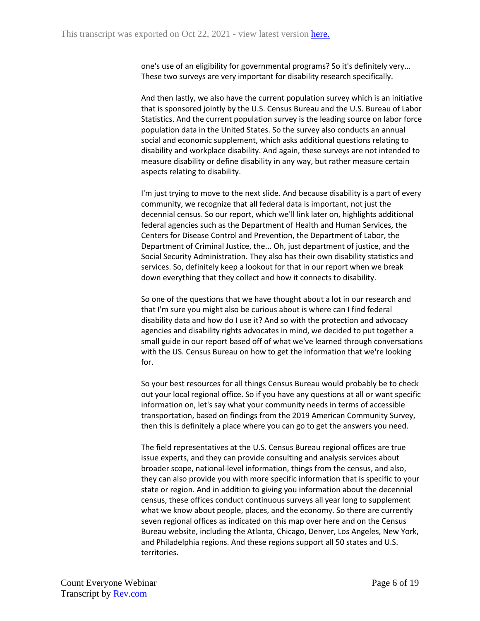one's use of an eligibility for governmental programs? So it's definitely very... These two surveys are very important for disability research specifically.

And then lastly, we also have the current population survey which is an initiative that is sponsored jointly by the U.S. Census Bureau and the U.S. Bureau of Labor Statistics. And the current population survey is the leading source on labor force population data in the United States. So the survey also conducts an annual social and economic supplement, which asks additional questions relating to disability and workplace disability. And again, these surveys are not intended to measure disability or define disability in any way, but rather measure certain aspects relating to disability.

I'm just trying to move to the next slide. And because disability is a part of every community, we recognize that all federal data is important, not just the decennial census. So our report, which we'll link later on, highlights additional federal agencies such as the Department of Health and Human Services, the Centers for Disease Control and Prevention, the Department of Labor, the Department of Criminal Justice, the... Oh, just department of justice, and the Social Security Administration. They also has their own disability statistics and services. So, definitely keep a lookout for that in our report when we break down everything that they collect and how it connects to disability.

So one of the questions that we have thought about a lot in our research and that I'm sure you might also be curious about is where can I find federal disability data and how do I use it? And so with the protection and advocacy agencies and disability rights advocates in mind, we decided to put together a small guide in our report based off of what we've learned through conversations with the US. Census Bureau on how to get the information that we're looking for.

So your best resources for all things Census Bureau would probably be to check out your local regional office. So if you have any questions at all or want specific information on, let's say what your community needs in terms of accessible transportation, based on findings from the 2019 American Community Survey, then this is definitely a place where you can go to get the answers you need.

The field representatives at the U.S. Census Bureau regional offices are true issue experts, and they can provide consulting and analysis services about broader scope, national-level information, things from the census, and also, they can also provide you with more specific information that is specific to your state or region. And in addition to giving you information about the decennial census, these offices conduct continuous surveys all year long to supplement what we know about people, places, and the economy. So there are currently seven regional offices as indicated on this map over here and on the Census Bureau website, including the Atlanta, Chicago, Denver, Los Angeles, New York, and Philadelphia regions. And these regions support all 50 states and U.S. territories.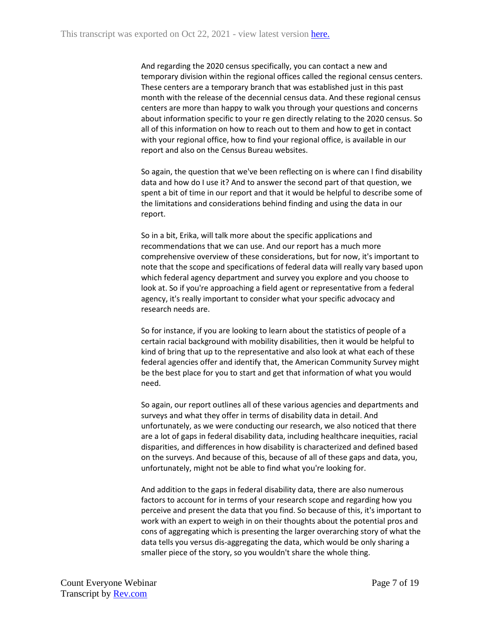And regarding the 2020 census specifically, you can contact a new and temporary division within the regional offices called the regional census centers. These centers are a temporary branch that was established just in this past month with the release of the decennial census data. And these regional census centers are more than happy to walk you through your questions and concerns about information specific to your re gen directly relating to the 2020 census. So all of this information on how to reach out to them and how to get in contact with your regional office, how to find your regional office, is available in our report and also on the Census Bureau websites.

So again, the question that we've been reflecting on is where can I find disability data and how do I use it? And to answer the second part of that question, we spent a bit of time in our report and that it would be helpful to describe some of the limitations and considerations behind finding and using the data in our report.

So in a bit, Erika, will talk more about the specific applications and recommendations that we can use. And our report has a much more comprehensive overview of these considerations, but for now, it's important to note that the scope and specifications of federal data will really vary based upon which federal agency department and survey you explore and you choose to look at. So if you're approaching a field agent or representative from a federal agency, it's really important to consider what your specific advocacy and research needs are.

So for instance, if you are looking to learn about the statistics of people of a certain racial background with mobility disabilities, then it would be helpful to kind of bring that up to the representative and also look at what each of these federal agencies offer and identify that, the American Community Survey might be the best place for you to start and get that information of what you would need.

So again, our report outlines all of these various agencies and departments and surveys and what they offer in terms of disability data in detail. And unfortunately, as we were conducting our research, we also noticed that there are a lot of gaps in federal disability data, including healthcare inequities, racial disparities, and differences in how disability is characterized and defined based on the surveys. And because of this, because of all of these gaps and data, you, unfortunately, might not be able to find what you're looking for.

And addition to the gaps in federal disability data, there are also numerous factors to account for in terms of your research scope and regarding how you perceive and present the data that you find. So because of this, it's important to work with an expert to weigh in on their thoughts about the potential pros and cons of aggregating which is presenting the larger overarching story of what the data tells you versus dis-aggregating the data, which would be only sharing a smaller piece of the story, so you wouldn't share the whole thing.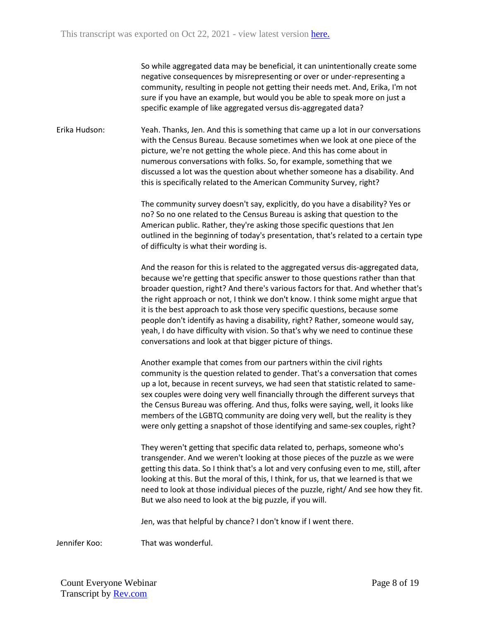So while aggregated data may be beneficial, it can unintentionally create some negative consequences by misrepresenting or over or under-representing a community, resulting in people not getting their needs met. And, Erika, I'm not sure if you have an example, but would you be able to speak more on just a specific example of like aggregated versus dis-aggregated data?

Erika Hudson: Yeah. Thanks, Jen. And this is something that came up a lot in our conversations with the Census Bureau. Because sometimes when we look at one piece of the picture, we're not getting the whole piece. And this has come about in numerous conversations with folks. So, for example, something that we discussed a lot was the question about whether someone has a disability. And this is specifically related to the American Community Survey, right?

> The community survey doesn't say, explicitly, do you have a disability? Yes or no? So no one related to the Census Bureau is asking that question to the American public. Rather, they're asking those specific questions that Jen outlined in the beginning of today's presentation, that's related to a certain type of difficulty is what their wording is.

> And the reason for this is related to the aggregated versus dis-aggregated data, because we're getting that specific answer to those questions rather than that broader question, right? And there's various factors for that. And whether that's the right approach or not, I think we don't know. I think some might argue that it is the best approach to ask those very specific questions, because some people don't identify as having a disability, right? Rather, someone would say, yeah, I do have difficulty with vision. So that's why we need to continue these conversations and look at that bigger picture of things.

Another example that comes from our partners within the civil rights community is the question related to gender. That's a conversation that comes up a lot, because in recent surveys, we had seen that statistic related to samesex couples were doing very well financially through the different surveys that the Census Bureau was offering. And thus, folks were saying, well, it looks like members of the LGBTQ community are doing very well, but the reality is they were only getting a snapshot of those identifying and same-sex couples, right?

They weren't getting that specific data related to, perhaps, someone who's transgender. And we weren't looking at those pieces of the puzzle as we were getting this data. So I think that's a lot and very confusing even to me, still, after looking at this. But the moral of this, I think, for us, that we learned is that we need to look at those individual pieces of the puzzle, right/ And see how they fit. But we also need to look at the big puzzle, if you will.

Jen, was that helpful by chance? I don't know if I went there.

Jennifer Koo: That was wonderful.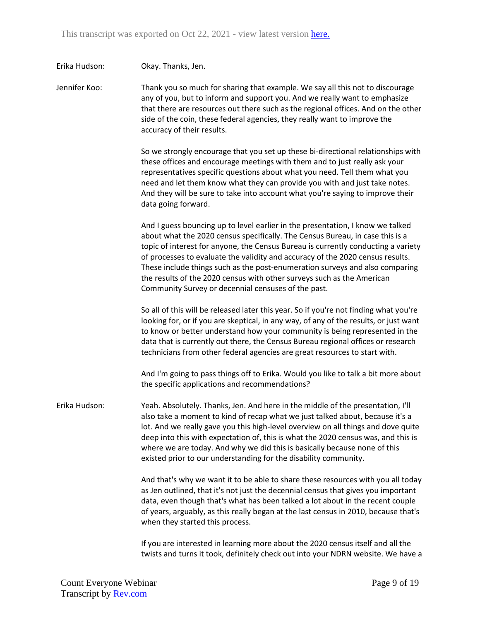| Erika Hudson: | Okay. Thanks, Jen.                                                                                                                                                                                                                                                                                                                                                                                                                                                                                                                                      |
|---------------|---------------------------------------------------------------------------------------------------------------------------------------------------------------------------------------------------------------------------------------------------------------------------------------------------------------------------------------------------------------------------------------------------------------------------------------------------------------------------------------------------------------------------------------------------------|
| Jennifer Koo: | Thank you so much for sharing that example. We say all this not to discourage<br>any of you, but to inform and support you. And we really want to emphasize<br>that there are resources out there such as the regional offices. And on the other<br>side of the coin, these federal agencies, they really want to improve the<br>accuracy of their results.                                                                                                                                                                                             |
|               | So we strongly encourage that you set up these bi-directional relationships with<br>these offices and encourage meetings with them and to just really ask your<br>representatives specific questions about what you need. Tell them what you<br>need and let them know what they can provide you with and just take notes.<br>And they will be sure to take into account what you're saying to improve their<br>data going forward.                                                                                                                     |
|               | And I guess bouncing up to level earlier in the presentation, I know we talked<br>about what the 2020 census specifically. The Census Bureau, in case this is a<br>topic of interest for anyone, the Census Bureau is currently conducting a variety<br>of processes to evaluate the validity and accuracy of the 2020 census results.<br>These include things such as the post-enumeration surveys and also comparing<br>the results of the 2020 census with other surveys such as the American<br>Community Survey or decennial censuses of the past. |
|               | So all of this will be released later this year. So if you're not finding what you're<br>looking for, or if you are skeptical, in any way, of any of the results, or just want<br>to know or better understand how your community is being represented in the<br>data that is currently out there, the Census Bureau regional offices or research<br>technicians from other federal agencies are great resources to start with.                                                                                                                         |
|               | And I'm going to pass things off to Erika. Would you like to talk a bit more about<br>the specific applications and recommendations?                                                                                                                                                                                                                                                                                                                                                                                                                    |
| Erika Hudson: | Yeah. Absolutely. Thanks, Jen. And here in the middle of the presentation, I'll<br>also take a moment to kind of recap what we just talked about, because it's a<br>lot. And we really gave you this high-level overview on all things and dove quite<br>deep into this with expectation of, this is what the 2020 census was, and this is<br>where we are today. And why we did this is basically because none of this<br>existed prior to our understanding for the disability community.                                                             |
|               | And that's why we want it to be able to share these resources with you all today<br>as Jen outlined, that it's not just the decennial census that gives you important<br>data, even though that's what has been talked a lot about in the recent couple<br>of years, arguably, as this really began at the last census in 2010, because that's<br>when they started this process.                                                                                                                                                                       |
|               | If you are interested in learning more about the 2020 census itself and all the<br>twists and turns it took, definitely check out into your NDRN website. We have a                                                                                                                                                                                                                                                                                                                                                                                     |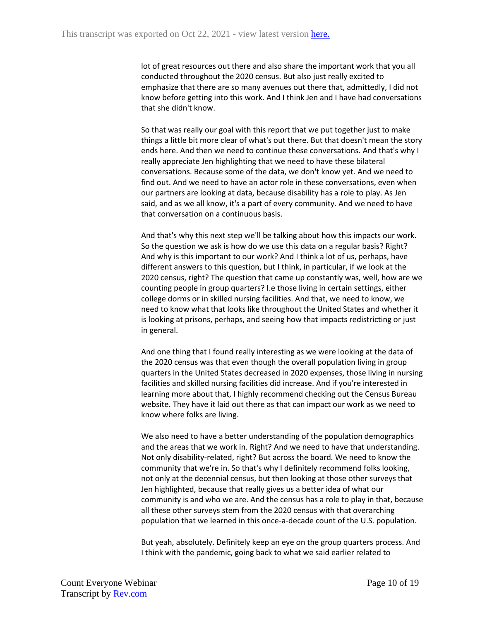lot of great resources out there and also share the important work that you all conducted throughout the 2020 census. But also just really excited to emphasize that there are so many avenues out there that, admittedly, I did not know before getting into this work. And I think Jen and I have had conversations that she didn't know.

So that was really our goal with this report that we put together just to make things a little bit more clear of what's out there. But that doesn't mean the story ends here. And then we need to continue these conversations. And that's why I really appreciate Jen highlighting that we need to have these bilateral conversations. Because some of the data, we don't know yet. And we need to find out. And we need to have an actor role in these conversations, even when our partners are looking at data, because disability has a role to play. As Jen said, and as we all know, it's a part of every community. And we need to have that conversation on a continuous basis.

And that's why this next step we'll be talking about how this impacts our work. So the question we ask is how do we use this data on a regular basis? Right? And why is this important to our work? And I think a lot of us, perhaps, have different answers to this question, but I think, in particular, if we look at the 2020 census, right? The question that came up constantly was, well, how are we counting people in group quarters? I.e those living in certain settings, either college dorms or in skilled nursing facilities. And that, we need to know, we need to know what that looks like throughout the United States and whether it is looking at prisons, perhaps, and seeing how that impacts redistricting or just in general.

And one thing that I found really interesting as we were looking at the data of the 2020 census was that even though the overall population living in group quarters in the United States decreased in 2020 expenses, those living in nursing facilities and skilled nursing facilities did increase. And if you're interested in learning more about that, I highly recommend checking out the Census Bureau website. They have it laid out there as that can impact our work as we need to know where folks are living.

We also need to have a better understanding of the population demographics and the areas that we work in. Right? And we need to have that understanding. Not only disability-related, right? But across the board. We need to know the community that we're in. So that's why I definitely recommend folks looking, not only at the decennial census, but then looking at those other surveys that Jen highlighted, because that really gives us a better idea of what our community is and who we are. And the census has a role to play in that, because all these other surveys stem from the 2020 census with that overarching population that we learned in this once-a-decade count of the U.S. population.

But yeah, absolutely. Definitely keep an eye on the group quarters process. And I think with the pandemic, going back to what we said earlier related to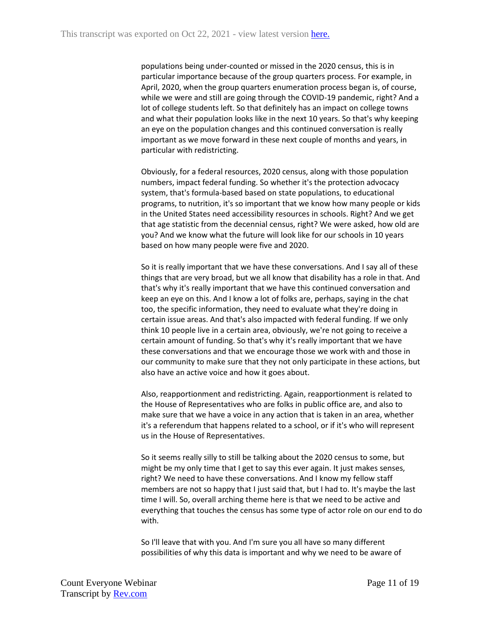populations being under-counted or missed in the 2020 census, this is in particular importance because of the group quarters process. For example, in April, 2020, when the group quarters enumeration process began is, of course, while we were and still are going through the COVID-19 pandemic, right? And a lot of college students left. So that definitely has an impact on college towns and what their population looks like in the next 10 years. So that's why keeping an eye on the population changes and this continued conversation is really important as we move forward in these next couple of months and years, in particular with redistricting.

Obviously, for a federal resources, 2020 census, along with those population numbers, impact federal funding. So whether it's the protection advocacy system, that's formula-based based on state populations, to educational programs, to nutrition, it's so important that we know how many people or kids in the United States need accessibility resources in schools. Right? And we get that age statistic from the decennial census, right? We were asked, how old are you? And we know what the future will look like for our schools in 10 years based on how many people were five and 2020.

So it is really important that we have these conversations. And I say all of these things that are very broad, but we all know that disability has a role in that. And that's why it's really important that we have this continued conversation and keep an eye on this. And I know a lot of folks are, perhaps, saying in the chat too, the specific information, they need to evaluate what they're doing in certain issue areas. And that's also impacted with federal funding. If we only think 10 people live in a certain area, obviously, we're not going to receive a certain amount of funding. So that's why it's really important that we have these conversations and that we encourage those we work with and those in our community to make sure that they not only participate in these actions, but also have an active voice and how it goes about.

Also, reapportionment and redistricting. Again, reapportionment is related to the House of Representatives who are folks in public office are, and also to make sure that we have a voice in any action that is taken in an area, whether it's a referendum that happens related to a school, or if it's who will represent us in the House of Representatives.

So it seems really silly to still be talking about the 2020 census to some, but might be my only time that I get to say this ever again. It just makes senses, right? We need to have these conversations. And I know my fellow staff members are not so happy that I just said that, but I had to. It's maybe the last time I will. So, overall arching theme here is that we need to be active and everything that touches the census has some type of actor role on our end to do with.

So I'll leave that with you. And I'm sure you all have so many different possibilities of why this data is important and why we need to be aware of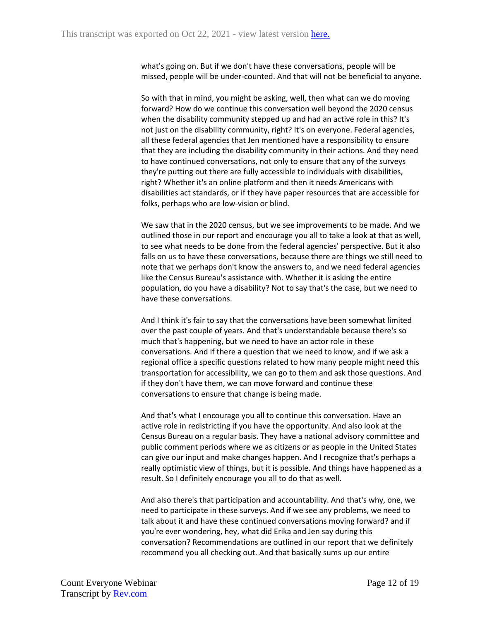what's going on. But if we don't have these conversations, people will be missed, people will be under-counted. And that will not be beneficial to anyone.

So with that in mind, you might be asking, well, then what can we do moving forward? How do we continue this conversation well beyond the 2020 census when the disability community stepped up and had an active role in this? It's not just on the disability community, right? It's on everyone. Federal agencies, all these federal agencies that Jen mentioned have a responsibility to ensure that they are including the disability community in their actions. And they need to have continued conversations, not only to ensure that any of the surveys they're putting out there are fully accessible to individuals with disabilities, right? Whether it's an online platform and then it needs Americans with disabilities act standards, or if they have paper resources that are accessible for folks, perhaps who are low-vision or blind.

We saw that in the 2020 census, but we see improvements to be made. And we outlined those in our report and encourage you all to take a look at that as well, to see what needs to be done from the federal agencies' perspective. But it also falls on us to have these conversations, because there are things we still need to note that we perhaps don't know the answers to, and we need federal agencies like the Census Bureau's assistance with. Whether it is asking the entire population, do you have a disability? Not to say that's the case, but we need to have these conversations.

And I think it's fair to say that the conversations have been somewhat limited over the past couple of years. And that's understandable because there's so much that's happening, but we need to have an actor role in these conversations. And if there a question that we need to know, and if we ask a regional office a specific questions related to how many people might need this transportation for accessibility, we can go to them and ask those questions. And if they don't have them, we can move forward and continue these conversations to ensure that change is being made.

And that's what I encourage you all to continue this conversation. Have an active role in redistricting if you have the opportunity. And also look at the Census Bureau on a regular basis. They have a national advisory committee and public comment periods where we as citizens or as people in the United States can give our input and make changes happen. And I recognize that's perhaps a really optimistic view of things, but it is possible. And things have happened as a result. So I definitely encourage you all to do that as well.

And also there's that participation and accountability. And that's why, one, we need to participate in these surveys. And if we see any problems, we need to talk about it and have these continued conversations moving forward? and if you're ever wondering, hey, what did Erika and Jen say during this conversation? Recommendations are outlined in our report that we definitely recommend you all checking out. And that basically sums up our entire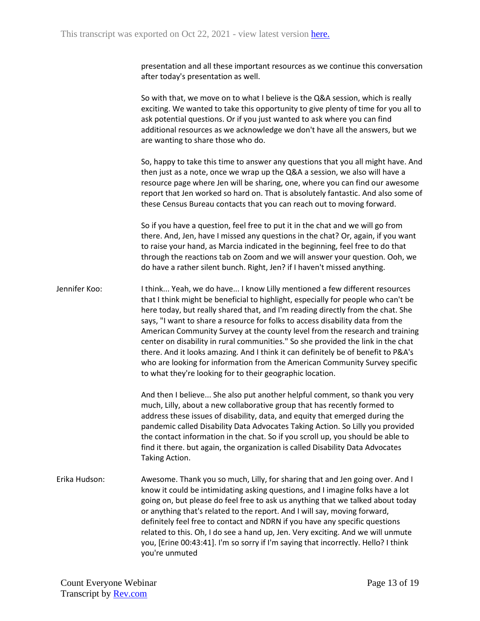presentation and all these important resources as we continue this conversation after today's presentation as well.

So with that, we move on to what I believe is the Q&A session, which is really exciting. We wanted to take this opportunity to give plenty of time for you all to ask potential questions. Or if you just wanted to ask where you can find additional resources as we acknowledge we don't have all the answers, but we are wanting to share those who do.

So, happy to take this time to answer any questions that you all might have. And then just as a note, once we wrap up the Q&A a session, we also will have a resource page where Jen will be sharing, one, where you can find our awesome report that Jen worked so hard on. That is absolutely fantastic. And also some of these Census Bureau contacts that you can reach out to moving forward.

So if you have a question, feel free to put it in the chat and we will go from there. And, Jen, have I missed any questions in the chat? Or, again, if you want to raise your hand, as Marcia indicated in the beginning, feel free to do that through the reactions tab on Zoom and we will answer your question. Ooh, we do have a rather silent bunch. Right, Jen? if I haven't missed anything.

Jennifer Koo: I think... Yeah, we do have... I know Lilly mentioned a few different resources that I think might be beneficial to highlight, especially for people who can't be here today, but really shared that, and I'm reading directly from the chat. She says, "I want to share a resource for folks to access disability data from the American Community Survey at the county level from the research and training center on disability in rural communities." So she provided the link in the chat there. And it looks amazing. And I think it can definitely be of benefit to P&A's who are looking for information from the American Community Survey specific to what they're looking for to their geographic location.

> And then I believe... She also put another helpful comment, so thank you very much, Lilly, about a new collaborative group that has recently formed to address these issues of disability, data, and equity that emerged during the pandemic called Disability Data Advocates Taking Action. So Lilly you provided the contact information in the chat. So if you scroll up, you should be able to find it there. but again, the organization is called Disability Data Advocates Taking Action.

Erika Hudson: Awesome. Thank you so much, Lilly, for sharing that and Jen going over. And I know it could be intimidating asking questions, and I imagine folks have a lot going on, but please do feel free to ask us anything that we talked about today or anything that's related to the report. And I will say, moving forward, definitely feel free to contact and NDRN if you have any specific questions related to this. Oh, I do see a hand up, Jen. Very exciting. And we will unmute you, [Erine 00:43:41]. I'm so sorry if I'm saying that incorrectly. Hello? I think you're unmuted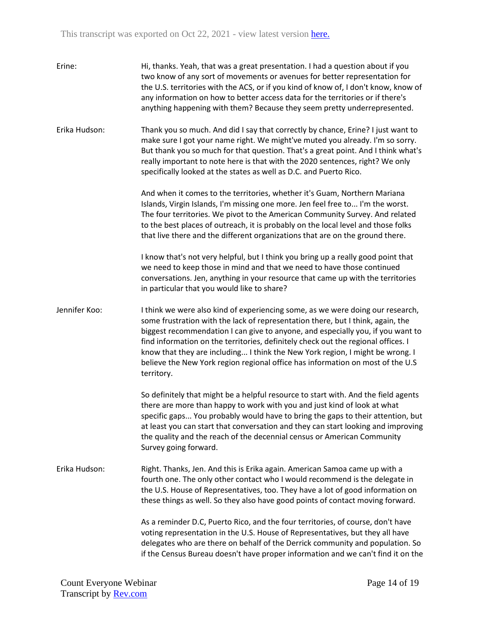| Erine:        | Hi, thanks. Yeah, that was a great presentation. I had a question about if you<br>two know of any sort of movements or avenues for better representation for<br>the U.S. territories with the ACS, or if you kind of know of, I don't know, know of<br>any information on how to better access data for the territories or if there's<br>anything happening with them? Because they seem pretty underrepresented.                                                                                                          |
|---------------|----------------------------------------------------------------------------------------------------------------------------------------------------------------------------------------------------------------------------------------------------------------------------------------------------------------------------------------------------------------------------------------------------------------------------------------------------------------------------------------------------------------------------|
| Erika Hudson: | Thank you so much. And did I say that correctly by chance, Erine? I just want to<br>make sure I got your name right. We might've muted you already. I'm so sorry.<br>But thank you so much for that question. That's a great point. And I think what's<br>really important to note here is that with the 2020 sentences, right? We only<br>specifically looked at the states as well as D.C. and Puerto Rico.                                                                                                              |
|               | And when it comes to the territories, whether it's Guam, Northern Mariana<br>Islands, Virgin Islands, I'm missing one more. Jen feel free to I'm the worst.<br>The four territories. We pivot to the American Community Survey. And related<br>to the best places of outreach, it is probably on the local level and those folks<br>that live there and the different organizations that are on the ground there.                                                                                                          |
|               | I know that's not very helpful, but I think you bring up a really good point that<br>we need to keep those in mind and that we need to have those continued<br>conversations. Jen, anything in your resource that came up with the territories<br>in particular that you would like to share?                                                                                                                                                                                                                              |
| Jennifer Koo: | I think we were also kind of experiencing some, as we were doing our research,<br>some frustration with the lack of representation there, but I think, again, the<br>biggest recommendation I can give to anyone, and especially you, if you want to<br>find information on the territories, definitely check out the regional offices. I<br>know that they are including I think the New York region, I might be wrong. I<br>believe the New York region regional office has information on most of the U.S<br>territory. |
|               | So definitely that might be a helpful resource to start with. And the field agents<br>there are more than happy to work with you and just kind of look at what<br>specific gaps You probably would have to bring the gaps to their attention, but<br>at least you can start that conversation and they can start looking and improving<br>the quality and the reach of the decennial census or American Community<br>Survey going forward.                                                                                 |
| Erika Hudson: | Right. Thanks, Jen. And this is Erika again. American Samoa came up with a<br>fourth one. The only other contact who I would recommend is the delegate in<br>the U.S. House of Representatives, too. They have a lot of good information on<br>these things as well. So they also have good points of contact moving forward.                                                                                                                                                                                              |
|               | As a reminder D.C, Puerto Rico, and the four territories, of course, don't have<br>voting representation in the U.S. House of Representatives, but they all have<br>delegates who are there on behalf of the Derrick community and population. So<br>if the Census Bureau doesn't have proper information and we can't find it on the                                                                                                                                                                                      |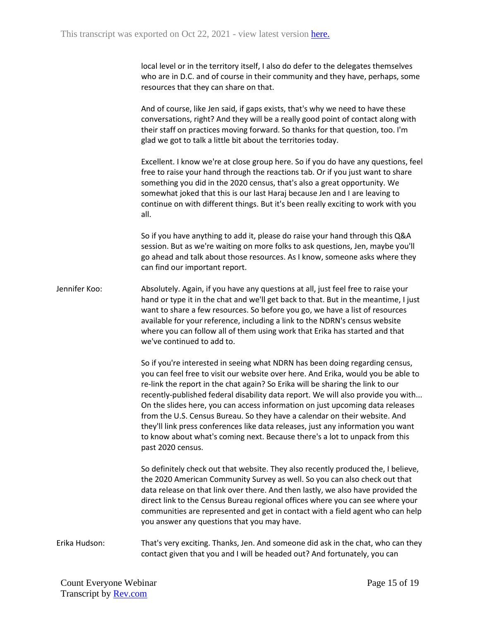local level or in the territory itself, I also do defer to the delegates themselves who are in D.C. and of course in their community and they have, perhaps, some resources that they can share on that.

And of course, like Jen said, if gaps exists, that's why we need to have these conversations, right? And they will be a really good point of contact along with their staff on practices moving forward. So thanks for that question, too. I'm glad we got to talk a little bit about the territories today.

Excellent. I know we're at close group here. So if you do have any questions, feel free to raise your hand through the reactions tab. Or if you just want to share something you did in the 2020 census, that's also a great opportunity. We somewhat joked that this is our last Haraj because Jen and I are leaving to continue on with different things. But it's been really exciting to work with you all.

So if you have anything to add it, please do raise your hand through this Q&A session. But as we're waiting on more folks to ask questions, Jen, maybe you'll go ahead and talk about those resources. As I know, someone asks where they can find our important report.

Jennifer Koo: Absolutely. Again, if you have any questions at all, just feel free to raise your hand or type it in the chat and we'll get back to that. But in the meantime, I just want to share a few resources. So before you go, we have a list of resources available for your reference, including a link to the NDRN's census website where you can follow all of them using work that Erika has started and that we've continued to add to.

> So if you're interested in seeing what NDRN has been doing regarding census, you can feel free to visit our website over here. And Erika, would you be able to re-link the report in the chat again? So Erika will be sharing the link to our recently-published federal disability data report. We will also provide you with... On the slides here, you can access information on just upcoming data releases from the U.S. Census Bureau. So they have a calendar on their website. And they'll link press conferences like data releases, just any information you want to know about what's coming next. Because there's a lot to unpack from this past 2020 census.

> So definitely check out that website. They also recently produced the, I believe, the 2020 American Community Survey as well. So you can also check out that data release on that link over there. And then lastly, we also have provided the direct link to the Census Bureau regional offices where you can see where your communities are represented and get in contact with a field agent who can help you answer any questions that you may have.

Erika Hudson: That's very exciting. Thanks, Jen. And someone did ask in the chat, who can they contact given that you and I will be headed out? And fortunately, you can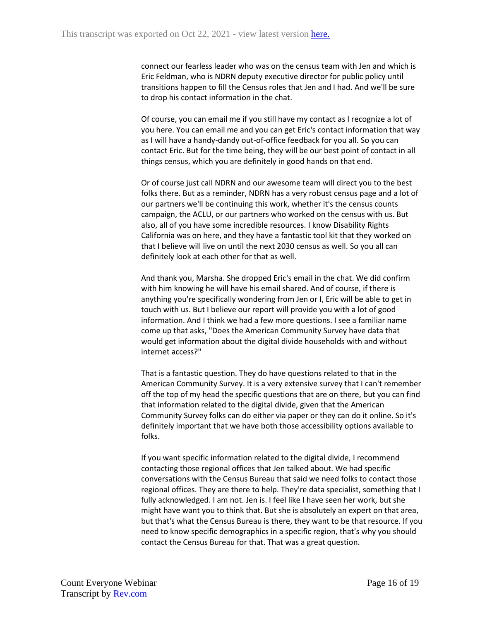connect our fearless leader who was on the census team with Jen and which is Eric Feldman, who is NDRN deputy executive director for public policy until transitions happen to fill the Census roles that Jen and I had. And we'll be sure to drop his contact information in the chat.

Of course, you can email me if you still have my contact as I recognize a lot of you here. You can email me and you can get Eric's contact information that way as I will have a handy-dandy out-of-office feedback for you all. So you can contact Eric. But for the time being, they will be our best point of contact in all things census, which you are definitely in good hands on that end.

Or of course just call NDRN and our awesome team will direct you to the best folks there. But as a reminder, NDRN has a very robust census page and a lot of our partners we'll be continuing this work, whether it's the census counts campaign, the ACLU, or our partners who worked on the census with us. But also, all of you have some incredible resources. I know Disability Rights California was on here, and they have a fantastic tool kit that they worked on that I believe will live on until the next 2030 census as well. So you all can definitely look at each other for that as well.

And thank you, Marsha. She dropped Eric's email in the chat. We did confirm with him knowing he will have his email shared. And of course, if there is anything you're specifically wondering from Jen or I, Eric will be able to get in touch with us. But I believe our report will provide you with a lot of good information. And I think we had a few more questions. I see a familiar name come up that asks, "Does the American Community Survey have data that would get information about the digital divide households with and without internet access?"

That is a fantastic question. They do have questions related to that in the American Community Survey. It is a very extensive survey that I can't remember off the top of my head the specific questions that are on there, but you can find that information related to the digital divide, given that the American Community Survey folks can do either via paper or they can do it online. So it's definitely important that we have both those accessibility options available to folks.

If you want specific information related to the digital divide, I recommend contacting those regional offices that Jen talked about. We had specific conversations with the Census Bureau that said we need folks to contact those regional offices. They are there to help. They're data specialist, something that I fully acknowledged. I am not. Jen is. I feel like I have seen her work, but she might have want you to think that. But she is absolutely an expert on that area, but that's what the Census Bureau is there, they want to be that resource. If you need to know specific demographics in a specific region, that's why you should contact the Census Bureau for that. That was a great question.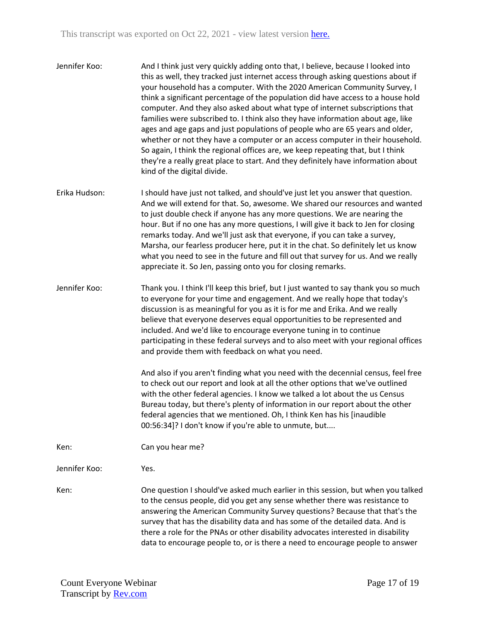- Jennifer Koo: And I think just very quickly adding onto that, I believe, because I looked into this as well, they tracked just internet access through asking questions about if your household has a computer. With the 2020 American Community Survey, I think a significant percentage of the population did have access to a house hold computer. And they also asked about what type of internet subscriptions that families were subscribed to. I think also they have information about age, like ages and age gaps and just populations of people who are 65 years and older, whether or not they have a computer or an access computer in their household. So again, I think the regional offices are, we keep repeating that, but I think they're a really great place to start. And they definitely have information about kind of the digital divide.
- Erika Hudson: I should have just not talked, and should've just let you answer that question. And we will extend for that. So, awesome. We shared our resources and wanted to just double check if anyone has any more questions. We are nearing the hour. But if no one has any more questions, I will give it back to Jen for closing remarks today. And we'll just ask that everyone, if you can take a survey, Marsha, our fearless producer here, put it in the chat. So definitely let us know what you need to see in the future and fill out that survey for us. And we really appreciate it. So Jen, passing onto you for closing remarks.
- Jennifer Koo: Thank you. I think I'll keep this brief, but I just wanted to say thank you so much to everyone for your time and engagement. And we really hope that today's discussion is as meaningful for you as it is for me and Erika. And we really believe that everyone deserves equal opportunities to be represented and included. And we'd like to encourage everyone tuning in to continue participating in these federal surveys and to also meet with your regional offices and provide them with feedback on what you need.

And also if you aren't finding what you need with the decennial census, feel free to check out our report and look at all the other options that we've outlined with the other federal agencies. I know we talked a lot about the us Census Bureau today, but there's plenty of information in our report about the other federal agencies that we mentioned. Oh, I think Ken has his [inaudible 00:56:34]? I don't know if you're able to unmute, but....

Ken: Can you hear me?

Jennifer Koo: Yes.

Ken: One question I should've asked much earlier in this session, but when you talked to the census people, did you get any sense whether there was resistance to answering the American Community Survey questions? Because that that's the survey that has the disability data and has some of the detailed data. And is there a role for the PNAs or other disability advocates interested in disability data to encourage people to, or is there a need to encourage people to answer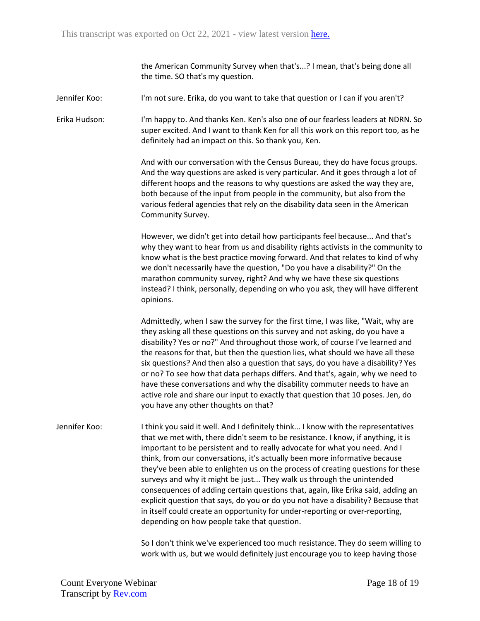the American Community Survey when that's...? I mean, that's being done all the time. SO that's my question.

Jennifer Koo: I'm not sure. Erika, do you want to take that question or I can if you aren't?

Erika Hudson: I'm happy to. And thanks Ken. Ken's also one of our fearless leaders at NDRN. So super excited. And I want to thank Ken for all this work on this report too, as he definitely had an impact on this. So thank you, Ken.

> And with our conversation with the Census Bureau, they do have focus groups. And the way questions are asked is very particular. And it goes through a lot of different hoops and the reasons to why questions are asked the way they are, both because of the input from people in the community, but also from the various federal agencies that rely on the disability data seen in the American Community Survey.

However, we didn't get into detail how participants feel because... And that's why they want to hear from us and disability rights activists in the community to know what is the best practice moving forward. And that relates to kind of why we don't necessarily have the question, "Do you have a disability?" On the marathon community survey, right? And why we have these six questions instead? I think, personally, depending on who you ask, they will have different opinions.

Admittedly, when I saw the survey for the first time, I was like, "Wait, why are they asking all these questions on this survey and not asking, do you have a disability? Yes or no?" And throughout those work, of course I've learned and the reasons for that, but then the question lies, what should we have all these six questions? And then also a question that says, do you have a disability? Yes or no? To see how that data perhaps differs. And that's, again, why we need to have these conversations and why the disability commuter needs to have an active role and share our input to exactly that question that 10 poses. Jen, do you have any other thoughts on that?

Jennifer Koo: I think you said it well. And I definitely think... I know with the representatives that we met with, there didn't seem to be resistance. I know, if anything, it is important to be persistent and to really advocate for what you need. And I think, from our conversations, it's actually been more informative because they've been able to enlighten us on the process of creating questions for these surveys and why it might be just... They walk us through the unintended consequences of adding certain questions that, again, like Erika said, adding an explicit question that says, do you or do you not have a disability? Because that in itself could create an opportunity for under-reporting or over-reporting, depending on how people take that question.

> So I don't think we've experienced too much resistance. They do seem willing to work with us, but we would definitely just encourage you to keep having those